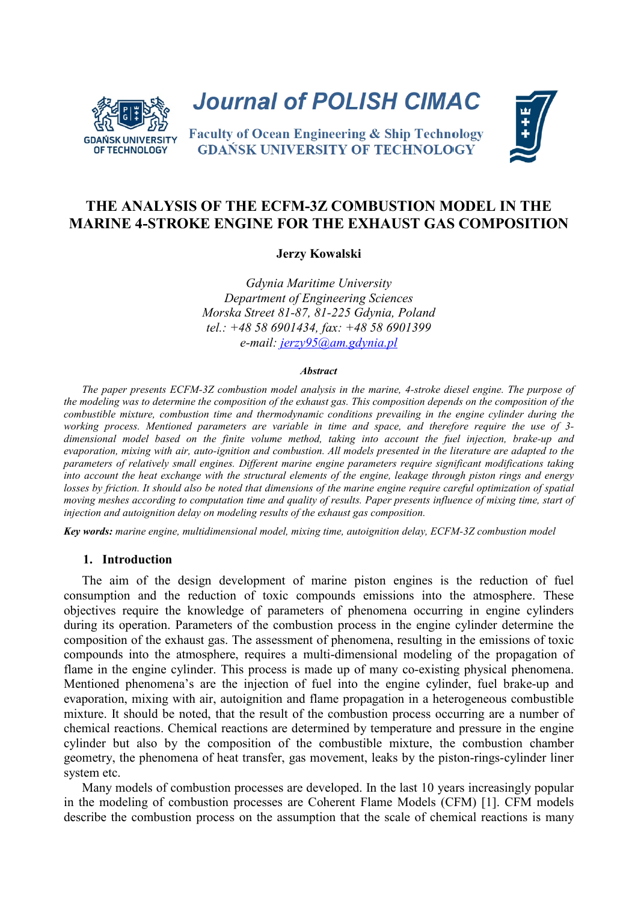

**Journal of POLISH CIMAC** 

**Faculty of Ocean Engineering & Ship Technology GDAŃSK UNIVERSITY OF TECHNOLOGY** 



# **THE ANALYSIS OF THE ECFM-3Z COMBUSTION MODEL IN THE MARINE 4-STROKE ENGINE FOR THE EXHAUST GAS COMPOSITION**

**Jerzy Kowalski**

*Gdynia Maritime University Department of Engineering Sciences Morska Street 81-87, 81-225 Gdynia, Poland tel.: +48 58 6901434, fax: +48 58 6901399 e-mail: jerzy95@am.gdynia.pl*

#### *Abstract*

*The paper presents ECFM-3Z combustion model analysis in the marine, 4-stroke diesel engine. The purpose of the modeling was to determine the composition of the exhaust gas. This composition depends on the composition of the combustible mixture, combustion time and thermodynamic conditions prevailing in the engine cylinder during the working process. Mentioned parameters are variable in time and space, and therefore require the use of 3 dimensional model based on the finite volume method, taking into account the fuel injection, brake-up and evaporation, mixing with air, auto-ignition and combustion. All models presented in the literature are adapted to the parameters of relatively small engines. Different marine engine parameters require significant modifications taking into account the heat exchange with the structural elements of the engine, leakage through piston rings and energy losses by friction. It should also be noted that dimensions of the marine engine require careful optimization of spatial moving meshes according to computation time and quality of results. Paper presents influence of mixing time, start of injection and autoignition delay on modeling results of the exhaust gas composition.*

*Key words: marine engine, multidimensional model, mixing time, autoignition delay, ECFM-3Z combustion model*

## **1. Introduction**

The aim of the design development of marine piston engines is the reduction of fuel consumption and the reduction of toxic compounds emissions into the atmosphere. These objectives require the knowledge of parameters of phenomena occurring in engine cylinders during its operation. Parameters of the combustion process in the engine cylinder determine the composition of the exhaust gas. The assessment of phenomena, resulting in the emissions of toxic compounds into the atmosphere, requires a multi-dimensional modeling of the propagation of flame in the engine cylinder. This process is made up of many co-existing physical phenomena. Mentioned phenomena's are the injection of fuel into the engine cylinder, fuel brake-up and evaporation, mixing with air, autoignition and flame propagation in a heterogeneous combustible mixture. It should be noted, that the result of the combustion process occurring are a number of chemical reactions. Chemical reactions are determined by temperature and pressure in the engine cylinder but also by the composition of the combustible mixture, the combustion chamber geometry, the phenomena of heat transfer, gas movement, leaks by the piston-rings-cylinder liner system etc.

Many models of combustion processes are developed. In the last 10 years increasingly popular in the modeling of combustion processes are Coherent Flame Models (CFM) [\[1\].](#page-6-0) CFM models describe the combustion process on the assumption that the scale of chemical reactions is many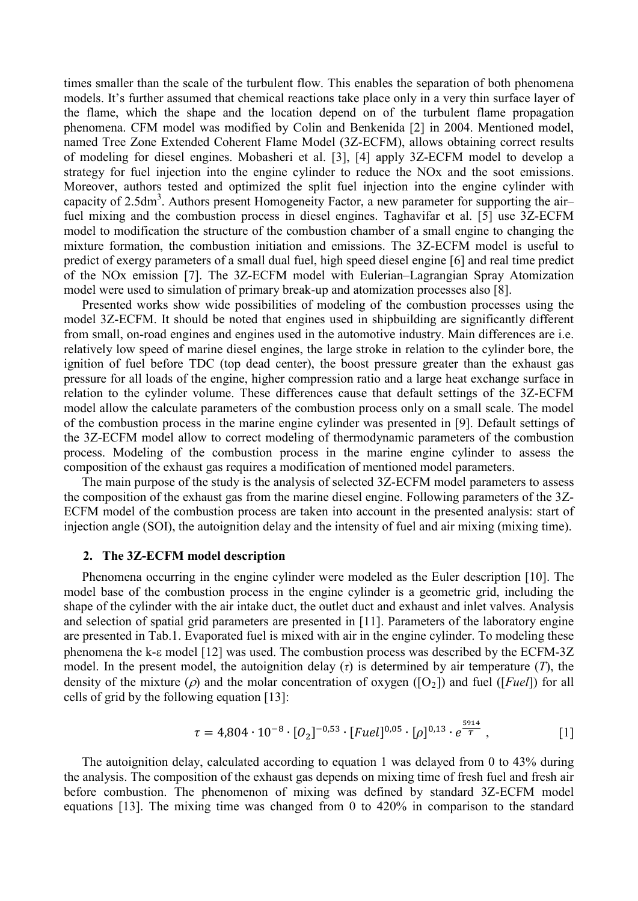times smaller than the scale of the turbulent flow. This enables the separation of both phenomena models. It's further assumed that chemical reactions take place only in a very thin surface layer of the flame, which the shape and the location depend on of the turbulent flame propagation phenomena. CFM model was modified by Colin and Benkenida [\[2\]](#page-7-0) in 2004. Mentioned model, named Tree Zone Extended Coherent Flame Model (3Z-ECFM), allows obtaining correct results of modeling for diesel engines. Mobasheri et al. [\[3\],](#page-7-1) [\[4\]](#page-7-2) apply 3Z-ECFM model to develop a strategy for fuel injection into the engine cylinder to reduce the NOx and the soot emissions. Moreover, authors tested and optimized the split fuel injection into the engine cylinder with capacity of 2.5dm<sup>3</sup>. Authors present Homogeneity Factor, a new parameter for supporting the airfuel mixing and the combustion process in diesel engines. Taghavifar et al. [\[5\]](#page-7-3) use 3Z-ECFM model to modification the structure of the combustion chamber of a small engine to changing the mixture formation, the combustion initiation and emissions. The 3Z-ECFM model is useful to predict of exergy parameters of a small dual fuel, high speed diesel engine [\[6\]](#page-7-4) and real time predict of the NOx emission [\[7\].](#page-7-5) The 3Z-ECFM model with Eulerian–Lagrangian Spray Atomization model were used to simulation of primary break-up and atomization processes also [\[8\].](#page-7-6)

Presented works show wide possibilities of modeling of the combustion processes using the model 3Z-ECFM. It should be noted that engines used in shipbuilding are significantly different from small, on-road engines and engines used in the automotive industry. Main differences are i.e. relatively low speed of marine diesel engines, the large stroke in relation to the cylinder bore, the ignition of fuel before TDC (top dead center), the boost pressure greater than the exhaust gas pressure for all loads of the engine, higher compression ratio and a large heat exchange surface in relation to the cylinder volume. These differences cause that default settings of the 3Z-ECFM model allow the calculate parameters of the combustion process only on a small scale. The model of the combustion process in the marine engine cylinder was presented in [\[9\].](#page-7-7) Default settings of the 3Z-ECFM model allow to correct modeling of thermodynamic parameters of the combustion process. Modeling of the combustion process in the marine engine cylinder to assess the composition of the exhaust gas requires a modification of mentioned model parameters.

The main purpose of the study is the analysis of selected 3Z-ECFM model parameters to assess the composition of the exhaust gas from the marine diesel engine. Following parameters of the 3Z-ECFM model of the combustion process are taken into account in the presented analysis: start of injection angle (SOI), the autoignition delay and the intensity of fuel and air mixing (mixing time).

### **2. The 3Z-ECFM model description**

Phenomena occurring in the engine cylinder were modeled as the Euler description [\[10\].](#page-7-8) The model base of the combustion process in the engine cylinder is a geometric grid, including the shape of the cylinder with the air intake duct, the outlet duct and exhaust and inlet valves. Analysis and selection of spatial grid parameters are presented in [\[11\].](#page-7-9) Parameters of the laboratory engine are presented in Tab.1. Evaporated fuel is mixed with air in the engine cylinder. To modeling these phenomena the k-ε model [\[12\]](#page-7-10) was used. The combustion process was described by the ECFM-3Z model. In the present model, the autoignition delay  $(\tau)$  is determined by air temperature  $(T)$ , the density of the mixture ( $\rho$ ) and the molar concentration of oxygen ( $[O_2]$ ) and fuel ([*Fuel*]) for all cells of grid by the following equation [\[13\]:](#page-7-11)

$$
\tau = 4,804 \cdot 10^{-8} \cdot [O_2]^{-0.53} \cdot [Fuel]^{0.05} \cdot [\rho]^{0.13} \cdot e^{\frac{5914}{T}}, \qquad [1]
$$

The autoignition delay, calculated according to equation 1 was delayed from 0 to 43% during the analysis. The composition of the exhaust gas depends on mixing time of fresh fuel and fresh air before combustion. The phenomenon of mixing was defined by standard 3Z-ECFM model equations [\[13\].](#page-7-11) The mixing time was changed from 0 to 420% in comparison to the standard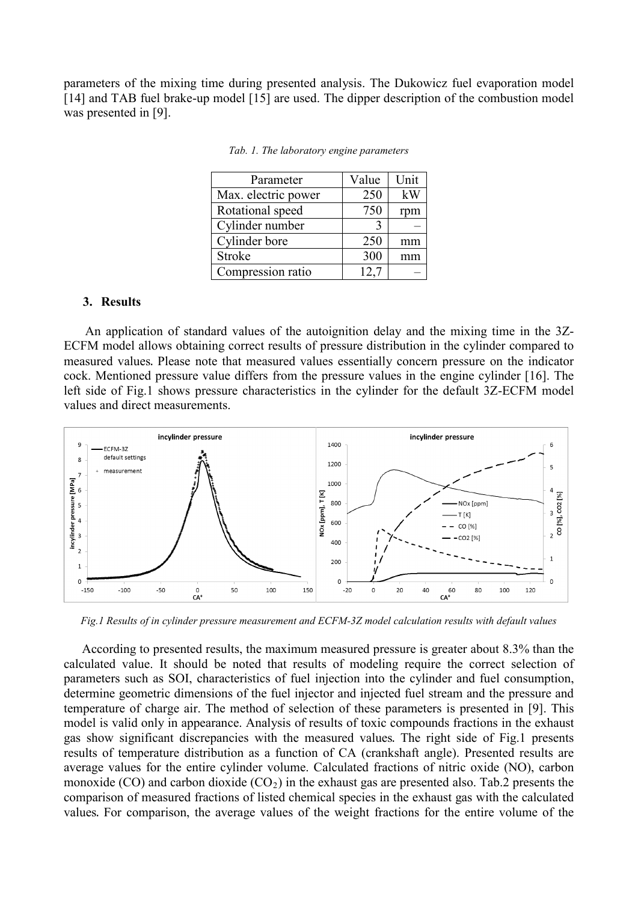parameters of the mixing time during presented analysis. The Dukowicz fuel evaporation model [\[14\]](#page-7-12) and TAB fuel brake-up model [\[15\]](#page-7-13) are used. The dipper description of the combustion model was presented in [\[9\].](#page-7-7)

| Parameter           | Value | Unit |
|---------------------|-------|------|
| Max. electric power | 250   | kW   |
| Rotational speed    | 750   | rpm  |
| Cylinder number     |       |      |
| Cylinder bore       | 250   | mm   |
| Stroke              | 300   |      |
| Compression ratio   | 12.7  |      |

*Tab. 1. The laboratory engine parameters*

#### **3. Results**

An application of standard values of the autoignition delay and the mixing time in the 3Z-ECFM model allows obtaining correct results of pressure distribution in the cylinder compared to measured values. Please note that measured values essentially concern pressure on the indicator cock. Mentioned pressure value differs from the pressure values in the engine cylinder [\[16\].](#page-7-14) The left side of Fig.1 shows pressure characteristics in the cylinder for the default 3Z-ECFM model values and direct measurements.



*Fig.1 Results of in cylinder pressure measurement and ECFM-3Z model calculation results with default values* 

According to presented results, the maximum measured pressure is greater about 8.3% than the calculated value. It should be noted that results of modeling require the correct selection of parameters such as SOI, characteristics of fuel injection into the cylinder and fuel consumption, determine geometric dimensions of the fuel injector and injected fuel stream and the pressure and temperature of charge air. The method of selection of these parameters is presented in [\[9\].](#page-7-7) This model is valid only in appearance. Analysis of results of toxic compounds fractions in the exhaust gas show significant discrepancies with the measured values. The right side of Fig.1 presents results of temperature distribution as a function of CA (crankshaft angle). Presented results are average values for the entire cylinder volume. Calculated fractions of nitric oxide (NO), carbon monoxide (CO) and carbon dioxide (CO<sub>2</sub>) in the exhaust gas are presented also. Tab.2 presents the comparison of measured fractions of listed chemical species in the exhaust gas with the calculated values. For comparison, the average values of the weight fractions for the entire volume of the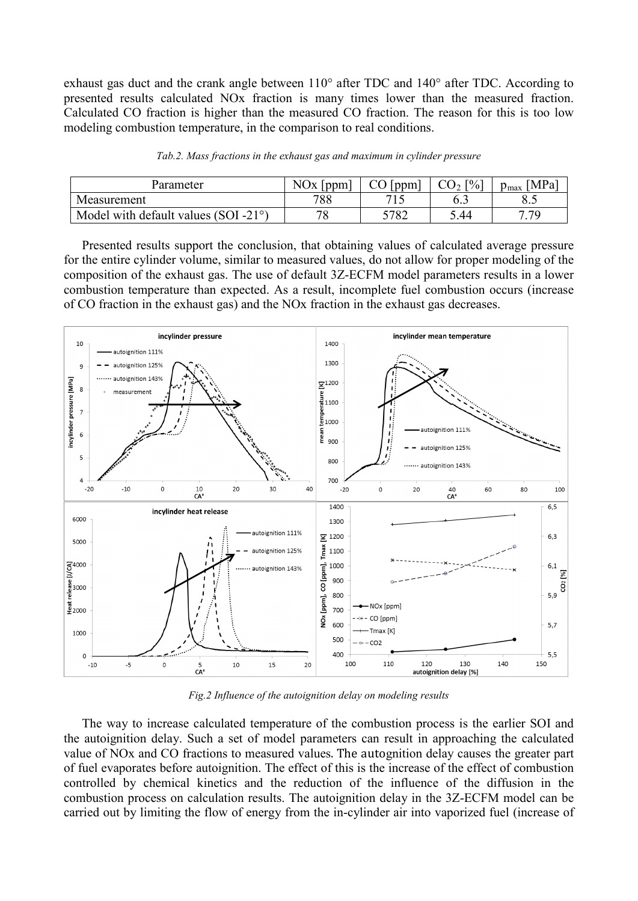exhaust gas duct and the crank angle between 110° after TDC and 140° after TDC. According to presented results calculated NOx fraction is many times lower than the measured fraction. Calculated CO fraction is higher than the measured CO fraction. The reason for this is too low modeling combustion temperature, in the comparison to real conditions.

| Parameter                                      | NOx<br>ppm | ppm  | $\lceil \frac{9}{0} \rceil$<br>$\mathcal{U}$ | 'MPa <sub>1</sub><br>$v_{\rm max}$ |
|------------------------------------------------|------------|------|----------------------------------------------|------------------------------------|
| Measurement                                    | 788        | 71 S |                                              | د.ه                                |
| Model with default values (SOI -21 $\degree$ ) | 78         | 5782 | 5.44                                         | 7 70                               |

*Tab.2. Mass fractions in the exhaust gas and maximum in cylinder pressure*

Presented results support the conclusion, that obtaining values of calculated average pressure for the entire cylinder volume, similar to measured values, do not allow for proper modeling of the composition of the exhaust gas. The use of default 3Z-ECFM model parameters results in a lower combustion temperature than expected. As a result, incomplete fuel combustion occurs (increase of CO fraction in the exhaust gas) and the NOx fraction in the exhaust gas decreases.



*Fig.2 Influence of the autoignition delay on modeling results*

The way to increase calculated temperature of the combustion process is the earlier SOI and the autoignition delay. Such a set of model parameters can result in approaching the calculated value of NOx and CO fractions to measured values. The autognition delay causes the greater part of fuel evaporates before autoignition. The effect of this is the increase of the effect of combustion controlled by chemical kinetics and the reduction of the influence of the diffusion in the combustion process on calculation results. The autoignition delay in the 3Z-ECFM model can be carried out by limiting the flow of energy from the in-cylinder air into vaporized fuel (increase of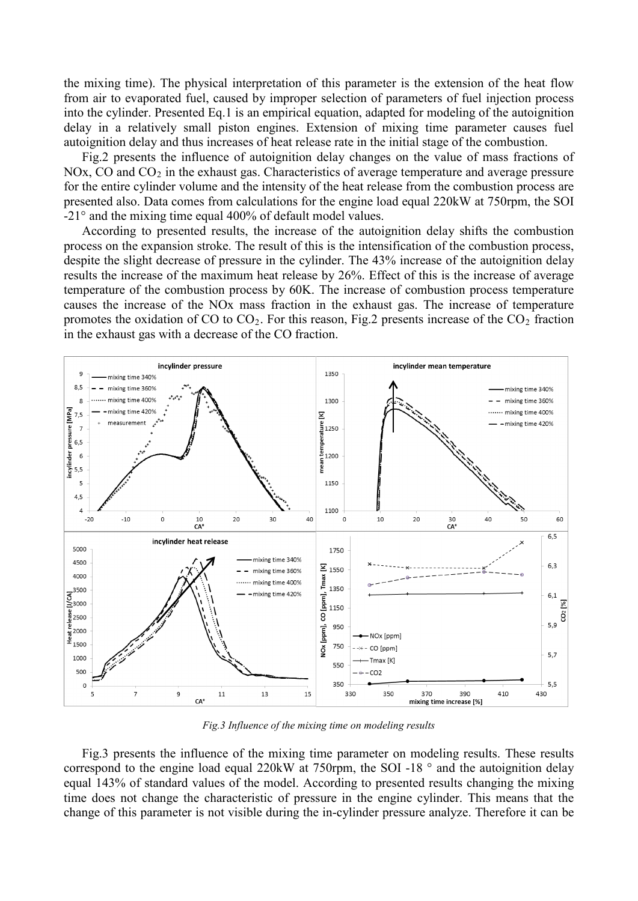the mixing time). The physical interpretation of this parameter is the extension of the heat flow from air to evaporated fuel, caused by improper selection of parameters of fuel injection process into the cylinder. Presented Eq.1 is an empirical equation, adapted for modeling of the autoignition delay in a relatively small piston engines. Extension of mixing time parameter causes fuel autoignition delay and thus increases of heat release rate in the initial stage of the combustion.

Fig.2 presents the influence of autoignition delay changes on the value of mass fractions of NOx, CO and  $CO<sub>2</sub>$  in the exhaust gas. Characteristics of average temperature and average pressure for the entire cylinder volume and the intensity of the heat release from the combustion process are presented also. Data comes from calculations for the engine load equal 220kW at 750rpm, the SOI -21° and the mixing time equal 400% of default model values.

According to presented results, the increase of the autoignition delay shifts the combustion process on the expansion stroke. The result of this is the intensification of the combustion process, despite the slight decrease of pressure in the cylinder. The 43% increase of the autoignition delay results the increase of the maximum heat release by 26%. Effect of this is the increase of average temperature of the combustion process by 60K. The increase of combustion process temperature causes the increase of the NOx mass fraction in the exhaust gas. The increase of temperature promotes the oxidation of CO to  $CO<sub>2</sub>$ . For this reason, Fig.2 presents increase of the  $CO<sub>2</sub>$  fraction in the exhaust gas with a decrease of the CO fraction.



*Fig.3 Influence of the mixing time on modeling results*

Fig.3 presents the influence of the mixing time parameter on modeling results. These results correspond to the engine load equal 220kW at 750rpm, the SOI -18 ° and the autoignition delay equal 143% of standard values of the model. According to presented results changing the mixing time does not change the characteristic of pressure in the engine cylinder. This means that the change of this parameter is not visible during the in-cylinder pressure analyze. Therefore it can be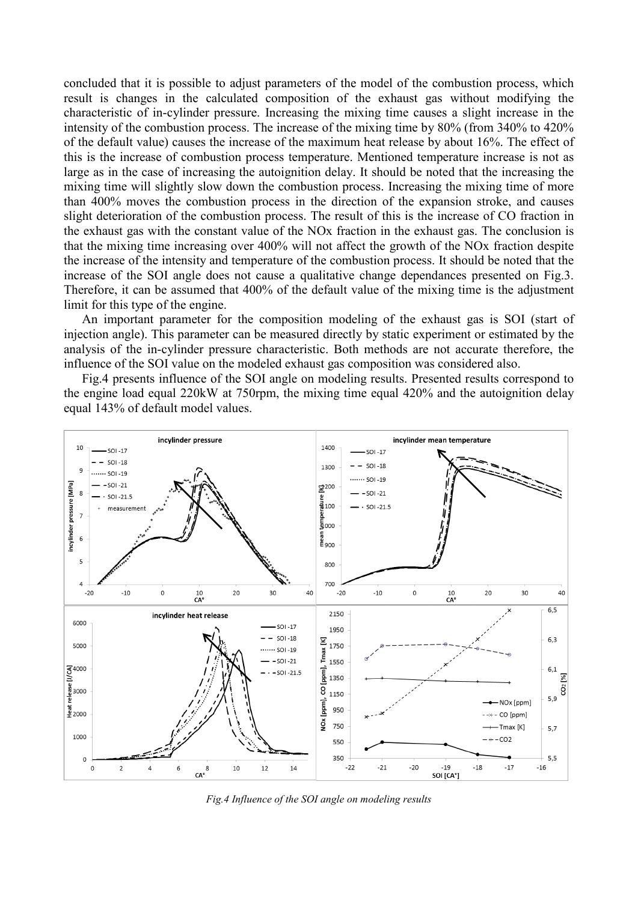concluded that it is possible to adjust parameters of the model of the combustion process, which result is changes in the calculated composition of the exhaust gas without modifying the characteristic of in-cylinder pressure. Increasing the mixing time causes a slight increase in the intensity of the combustion process. The increase of the mixing time by 80% (from 340% to 420% of the default value) causes the increase of the maximum heat release by about 16%. The effect of this is the increase of combustion process temperature. Mentioned temperature increase is not as large as in the case of increasing the autoignition delay. It should be noted that the increasing the mixing time will slightly slow down the combustion process. Increasing the mixing time of more than 400% moves the combustion process in the direction of the expansion stroke, and causes slight deterioration of the combustion process. The result of this is the increase of CO fraction in the exhaust gas with the constant value of the NOx fraction in the exhaust gas. The conclusion is that the mixing time increasing over 400% will not affect the growth of the NOx fraction despite the increase of the intensity and temperature of the combustion process. It should be noted that the increase of the SOI angle does not cause a qualitative change dependances presented on Fig.3. Therefore, it can be assumed that 400% of the default value of the mixing time is the adjustment limit for this type of the engine.

An important parameter for the composition modeling of the exhaust gas is SOI (start of injection angle). This parameter can be measured directly by static experiment or estimated by the analysis of the in-cylinder pressure characteristic. Both methods are not accurate therefore, the influence of the SOI value on the modeled exhaust gas composition was considered also.

Fig.4 presents influence of the SOI angle on modeling results. Presented results correspond to the engine load equal 220kW at 750rpm, the mixing time equal 420% and the autoignition delay equal 143% of default model values.



*Fig.4 Influence of the SOI angle on modeling results*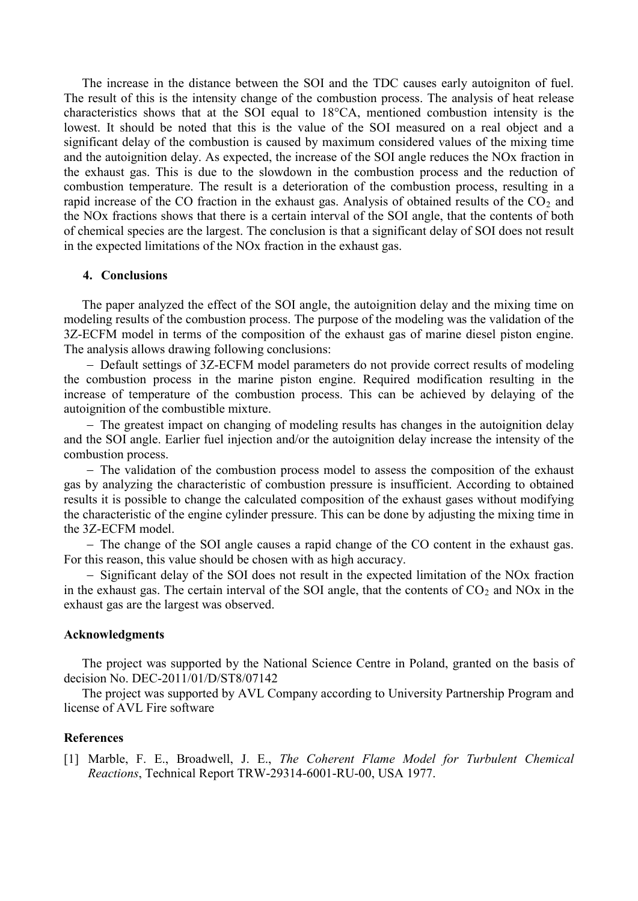The increase in the distance between the SOI and the TDC causes early autoigniton of fuel. The result of this is the intensity change of the combustion process. The analysis of heat release characteristics shows that at the SOI equal to 18°CA, mentioned combustion intensity is the lowest. It should be noted that this is the value of the SOI measured on a real object and a significant delay of the combustion is caused by maximum considered values of the mixing time and the autoignition delay. As expected, the increase of the SOI angle reduces the NOx fraction in the exhaust gas. This is due to the slowdown in the combustion process and the reduction of combustion temperature. The result is a deterioration of the combustion process, resulting in a rapid increase of the CO fraction in the exhaust gas. Analysis of obtained results of the  $CO<sub>2</sub>$  and the NOx fractions shows that there is a certain interval of the SOI angle, that the contents of both of chemical species are the largest. The conclusion is that a significant delay of SOI does not result in the expected limitations of the NOx fraction in the exhaust gas.

## **4. Conclusions**

The paper analyzed the effect of the SOI angle, the autoignition delay and the mixing time on modeling results of the combustion process. The purpose of the modeling was the validation of the 3Z-ECFM model in terms of the composition of the exhaust gas of marine diesel piston engine. The analysis allows drawing following conclusions:

− Default settings of 3Z-ECFM model parameters do not provide correct results of modeling the combustion process in the marine piston engine. Required modification resulting in the increase of temperature of the combustion process. This can be achieved by delaying of the autoignition of the combustible mixture.

− The greatest impact on changing of modeling results has changes in the autoignition delay and the SOI angle. Earlier fuel injection and/or the autoignition delay increase the intensity of the combustion process.

− The validation of the combustion process model to assess the composition of the exhaust gas by analyzing the characteristic of combustion pressure is insufficient. According to obtained results it is possible to change the calculated composition of the exhaust gases without modifying the characteristic of the engine cylinder pressure. This can be done by adjusting the mixing time in the 3Z-ECFM model.

− The change of the SOI angle causes a rapid change of the CO content in the exhaust gas. For this reason, this value should be chosen with as high accuracy.

− Significant delay of the SOI does not result in the expected limitation of the NOx fraction in the exhaust gas. The certain interval of the SOI angle, that the contents of  $CO<sub>2</sub>$  and NOx in the exhaust gas are the largest was observed.

### **Acknowledgments**

The project was supported by the National Science Centre in Poland, granted on the basis of decision No. DEC-2011/01/D/ST8/07142

The project was supported by AVL Company according to University Partnership Program and license of AVL Fire software

## **References**

<span id="page-6-0"></span>[1] Marble, F. E., Broadwell, J. E., *The Coherent Flame Model for Turbulent Chemical Reactions*, Technical Report TRW-29314-6001-RU-00, USA 1977.